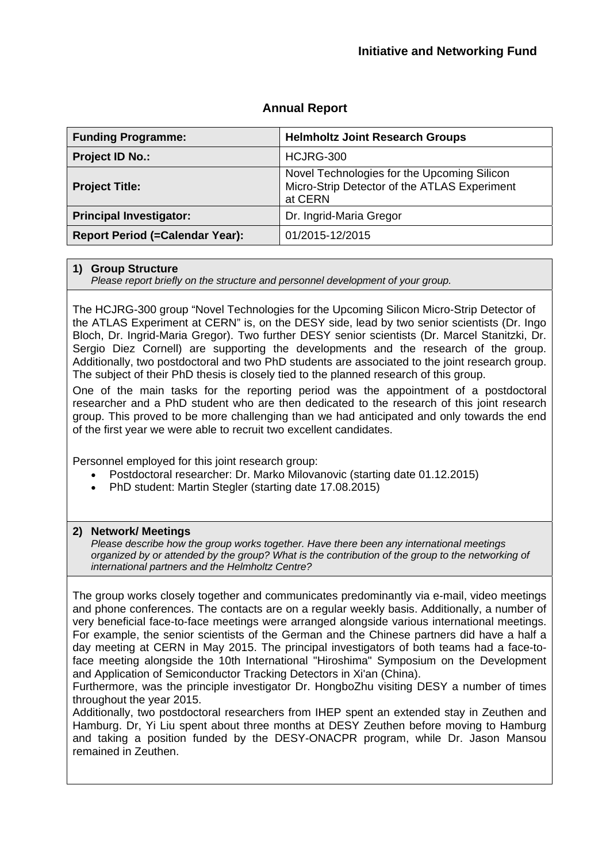| <b>Funding Programme:</b>              | <b>Helmholtz Joint Research Groups</b>                                                                 |
|----------------------------------------|--------------------------------------------------------------------------------------------------------|
| <b>Project ID No.:</b>                 | HCJRG-300                                                                                              |
| <b>Project Title:</b>                  | Novel Technologies for the Upcoming Silicon<br>Micro-Strip Detector of the ATLAS Experiment<br>at CERN |
| <b>Principal Investigator:</b>         | Dr. Ingrid-Maria Gregor                                                                                |
| <b>Report Period (=Calendar Year):</b> | 01/2015-12/2015                                                                                        |

# **Annual Report**

#### **1) Group Structure**

*Please report briefly on the structure and personnel development of your group.*

The HCJRG-300 group "Novel Technologies for the Upcoming Silicon Micro-Strip Detector of the ATLAS Experiment at CERN" is, on the DESY side, lead by two senior scientists (Dr. Ingo Bloch, Dr. Ingrid-Maria Gregor). Two further DESY senior scientists (Dr. Marcel Stanitzki, Dr. Sergio Diez Cornell) are supporting the developments and the research of the group. Additionally, two postdoctoral and two PhD students are associated to the joint research group. The subject of their PhD thesis is closely tied to the planned research of this group.

One of the main tasks for the reporting period was the appointment of a postdoctoral researcher and a PhD student who are then dedicated to the research of this joint research group. This proved to be more challenging than we had anticipated and only towards the end of the first year we were able to recruit two excellent candidates.

Personnel employed for this joint research group:

- Postdoctoral researcher: Dr. Marko Milovanovic (starting date 01.12.2015)
- PhD student: Martin Stegler (starting date 17.08.2015)

#### **2) Network/ Meetings**

*Please describe how the group works together. Have there been any international meetings organized by or attended by the group? What is the contribution of the group to the networking of international partners and the Helmholtz Centre?*

The group works closely together and communicates predominantly via e-mail, video meetings and phone conferences. The contacts are on a regular weekly basis. Additionally, a number of very beneficial face-to-face meetings were arranged alongside various international meetings. For example, the senior scientists of the German and the Chinese partners did have a half a day meeting at CERN in May 2015. The principal investigators of both teams had a face-toface meeting alongside the 10th International "Hiroshima" Symposium on the Development and Application of Semiconductor Tracking Detectors in Xi'an (China).

Furthermore, was the principle investigator Dr. HongboZhu visiting DESY a number of times throughout the year 2015.

Additionally, two postdoctoral researchers from IHEP spent an extended stay in Zeuthen and Hamburg. Dr, Yi Liu spent about three months at DESY Zeuthen before moving to Hamburg and taking a position funded by the DESY-ONACPR program, while Dr. Jason Mansou remained in Zeuthen.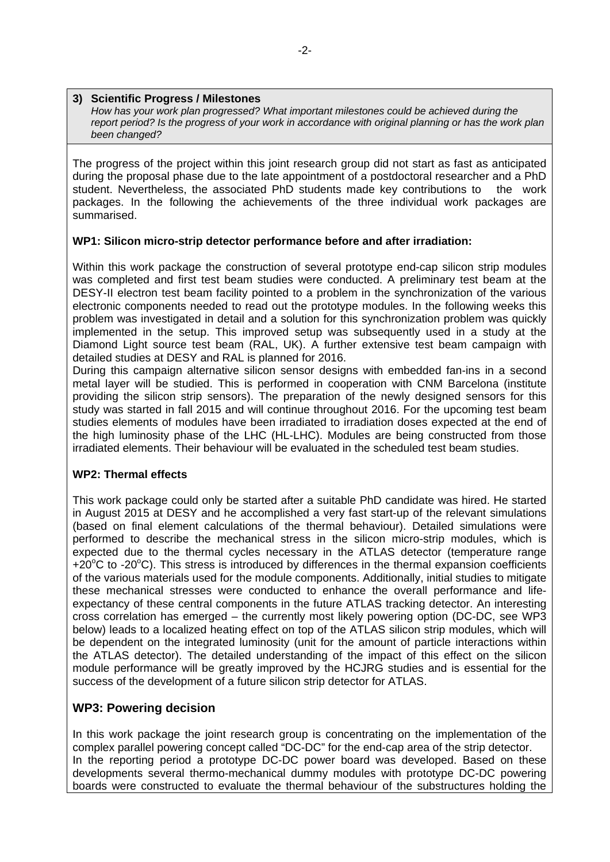### **3) Scientific Progress / Milestones**

*How has your work plan progressed? What important milestones could be achieved during the report period? Is the progress of your work in accordance with original planning or has the work plan been changed?*

The progress of the project within this joint research group did not start as fast as anticipated during the proposal phase due to the late appointment of a postdoctoral researcher and a PhD student. Nevertheless, the associated PhD students made key contributions to the work packages. In the following the achievements of the three individual work packages are summarised.

## **WP1: Silicon micro-strip detector performance before and after irradiation:**

Within this work package the construction of several prototype end-cap silicon strip modules was completed and first test beam studies were conducted. A preliminary test beam at the DESY-II electron test beam facility pointed to a problem in the synchronization of the various electronic components needed to read out the prototype modules. In the following weeks this problem was investigated in detail and a solution for this synchronization problem was quickly implemented in the setup. This improved setup was subsequently used in a study at the Diamond Light source test beam (RAL, UK). A further extensive test beam campaign with detailed studies at DESY and RAL is planned for 2016.

During this campaign alternative silicon sensor designs with embedded fan-ins in a second metal layer will be studied. This is performed in cooperation with CNM Barcelona (institute providing the silicon strip sensors). The preparation of the newly designed sensors for this study was started in fall 2015 and will continue throughout 2016. For the upcoming test beam studies elements of modules have been irradiated to irradiation doses expected at the end of the high luminosity phase of the LHC (HL-LHC). Modules are being constructed from those irradiated elements. Their behaviour will be evaluated in the scheduled test beam studies.

### **WP2: Thermal effects**

This work package could only be started after a suitable PhD candidate was hired. He started in August 2015 at DESY and he accomplished a very fast start-up of the relevant simulations (based on final element calculations of the thermal behaviour). Detailed simulations were performed to describe the mechanical stress in the silicon micro-strip modules, which is expected due to the thermal cycles necessary in the ATLAS detector (temperature range +20°C to -20°C). This stress is introduced by differences in the thermal expansion coefficients of the various materials used for the module components. Additionally, initial studies to mitigate these mechanical stresses were conducted to enhance the overall performance and lifeexpectancy of these central components in the future ATLAS tracking detector. An interesting cross correlation has emerged – the currently most likely powering option (DC-DC, see WP3 below) leads to a localized heating effect on top of the ATLAS silicon strip modules, which will be dependent on the integrated luminosity (unit for the amount of particle interactions within the ATLAS detector). The detailed understanding of the impact of this effect on the silicon module performance will be greatly improved by the HCJRG studies and is essential for the success of the development of a future silicon strip detector for ATLAS.

## **WP3: Powering decision**

In this work package the joint research group is concentrating on the implementation of the complex parallel powering concept called "DC-DC" for the end-cap area of the strip detector. In the reporting period a prototype DC-DC power board was developed. Based on these developments several thermo-mechanical dummy modules with prototype DC-DC powering boards were constructed to evaluate the thermal behaviour of the substructures holding the